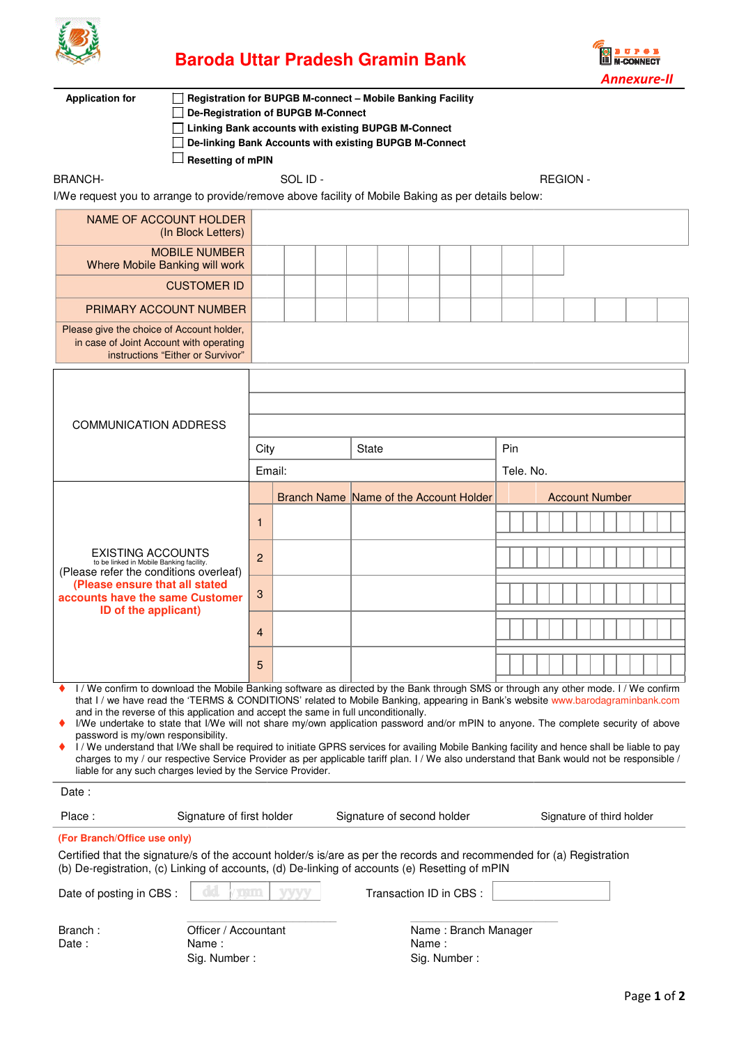

# **Baroda Uttar Pradesh Gramin Bank**



| <b>Application for</b><br><b>Registration for BUPGB M-connect - Mobile Banking Facility</b><br><b>De-Registration of BUPGB M-Connect</b><br>Linking Bank accounts with existing BUPGB M-Connect<br>De-linking Bank Accounts with existing BUPGB M-Connect<br><b>Resetting of mPIN</b>                                                                                                                                                                                                                                                                                                                                                                                                                                                                                                                                                                                                                   |                                               |                                             |                |  |                                               |  |  |  |                       |                  |  |                 |  |  |  |
|---------------------------------------------------------------------------------------------------------------------------------------------------------------------------------------------------------------------------------------------------------------------------------------------------------------------------------------------------------------------------------------------------------------------------------------------------------------------------------------------------------------------------------------------------------------------------------------------------------------------------------------------------------------------------------------------------------------------------------------------------------------------------------------------------------------------------------------------------------------------------------------------------------|-----------------------------------------------|---------------------------------------------|----------------|--|-----------------------------------------------|--|--|--|-----------------------|------------------|--|-----------------|--|--|--|
| <b>BRANCH-</b>                                                                                                                                                                                                                                                                                                                                                                                                                                                                                                                                                                                                                                                                                                                                                                                                                                                                                          |                                               |                                             | SOL ID-        |  |                                               |  |  |  |                       |                  |  | <b>REGION -</b> |  |  |  |
| I/We request you to arrange to provide/remove above facility of Mobile Baking as per details below:                                                                                                                                                                                                                                                                                                                                                                                                                                                                                                                                                                                                                                                                                                                                                                                                     |                                               |                                             |                |  |                                               |  |  |  |                       |                  |  |                 |  |  |  |
| NAME OF ACCOUNT HOLDER                                                                                                                                                                                                                                                                                                                                                                                                                                                                                                                                                                                                                                                                                                                                                                                                                                                                                  | (In Block Letters)                            |                                             |                |  |                                               |  |  |  |                       |                  |  |                 |  |  |  |
| Where Mobile Banking will work                                                                                                                                                                                                                                                                                                                                                                                                                                                                                                                                                                                                                                                                                                                                                                                                                                                                          | <b>MOBILE NUMBER</b>                          |                                             |                |  |                                               |  |  |  |                       |                  |  |                 |  |  |  |
|                                                                                                                                                                                                                                                                                                                                                                                                                                                                                                                                                                                                                                                                                                                                                                                                                                                                                                         | <b>CUSTOMER ID</b>                            |                                             |                |  |                                               |  |  |  |                       |                  |  |                 |  |  |  |
| <b>PRIMARY ACCOUNT NUMBER</b>                                                                                                                                                                                                                                                                                                                                                                                                                                                                                                                                                                                                                                                                                                                                                                                                                                                                           |                                               |                                             |                |  |                                               |  |  |  |                       |                  |  |                 |  |  |  |
| Please give the choice of Account holder,<br>in case of Joint Account with operating<br>instructions "Either or Survivor"                                                                                                                                                                                                                                                                                                                                                                                                                                                                                                                                                                                                                                                                                                                                                                               |                                               |                                             |                |  |                                               |  |  |  |                       |                  |  |                 |  |  |  |
| <b>COMMUNICATION ADDRESS</b>                                                                                                                                                                                                                                                                                                                                                                                                                                                                                                                                                                                                                                                                                                                                                                                                                                                                            |                                               |                                             | City<br>Email: |  | State                                         |  |  |  |                       | Pin<br>Tele, No. |  |                 |  |  |  |
|                                                                                                                                                                                                                                                                                                                                                                                                                                                                                                                                                                                                                                                                                                                                                                                                                                                                                                         |                                               |                                             |                |  |                                               |  |  |  |                       |                  |  |                 |  |  |  |
|                                                                                                                                                                                                                                                                                                                                                                                                                                                                                                                                                                                                                                                                                                                                                                                                                                                                                                         |                                               | Branch Name Name of the Account Holder<br>1 |                |  |                                               |  |  |  | <b>Account Number</b> |                  |  |                 |  |  |  |
| <b>EXISTING ACCOUNTS</b><br>to be linked in Mobile Banking facility.<br>(Please refer the conditions overleaf)                                                                                                                                                                                                                                                                                                                                                                                                                                                                                                                                                                                                                                                                                                                                                                                          |                                               | $\overline{2}$                              |                |  |                                               |  |  |  |                       |                  |  |                 |  |  |  |
| (Please ensure that all stated<br>accounts have the same Customer<br>ID of the applicant)                                                                                                                                                                                                                                                                                                                                                                                                                                                                                                                                                                                                                                                                                                                                                                                                               |                                               | 3                                           |                |  |                                               |  |  |  |                       |                  |  |                 |  |  |  |
|                                                                                                                                                                                                                                                                                                                                                                                                                                                                                                                                                                                                                                                                                                                                                                                                                                                                                                         |                                               | 4                                           |                |  |                                               |  |  |  |                       |                  |  |                 |  |  |  |
|                                                                                                                                                                                                                                                                                                                                                                                                                                                                                                                                                                                                                                                                                                                                                                                                                                                                                                         |                                               | 5                                           |                |  |                                               |  |  |  |                       |                  |  |                 |  |  |  |
| I / We confirm to download the Mobile Banking software as directed by the Bank through SMS or through any other mode. I / We confirm<br>that I / we have read the 'TERMS & CONDITIONS' related to Mobile Banking, appearing in Bank's website www.barodagraminbank.com<br>and in the reverse of this application and accept the same in full unconditionally.<br>I/We undertake to state that I/We will not share my/own application password and/or mPIN to anyone. The complete security of above<br>password is my/own responsibility.<br>I / We understand that I/We shall be required to initiate GPRS services for availing Mobile Banking facility and hence shall be liable to pay<br>charges to my / our respective Service Provider as per applicable tariff plan. I / We also understand that Bank would not be responsible /<br>liable for any such charges levied by the Service Provider. |                                               |                                             |                |  |                                               |  |  |  |                       |                  |  |                 |  |  |  |
| Date:                                                                                                                                                                                                                                                                                                                                                                                                                                                                                                                                                                                                                                                                                                                                                                                                                                                                                                   |                                               |                                             |                |  |                                               |  |  |  |                       |                  |  |                 |  |  |  |
| Place:<br>Signature of first holder<br>Signature of second holder<br>Signature of third holder                                                                                                                                                                                                                                                                                                                                                                                                                                                                                                                                                                                                                                                                                                                                                                                                          |                                               |                                             |                |  |                                               |  |  |  |                       |                  |  |                 |  |  |  |
| (For Branch/Office use only)                                                                                                                                                                                                                                                                                                                                                                                                                                                                                                                                                                                                                                                                                                                                                                                                                                                                            |                                               |                                             |                |  |                                               |  |  |  |                       |                  |  |                 |  |  |  |
| Certified that the signature/s of the account holder/s is/are as per the records and recommended for (a) Registration<br>(b) De-registration, (c) Linking of accounts, (d) De-linking of accounts (e) Resetting of mPIN                                                                                                                                                                                                                                                                                                                                                                                                                                                                                                                                                                                                                                                                                 |                                               |                                             |                |  |                                               |  |  |  |                       |                  |  |                 |  |  |  |
| Date of posting in CBS :                                                                                                                                                                                                                                                                                                                                                                                                                                                                                                                                                                                                                                                                                                                                                                                                                                                                                |                                               | <b>ANTILI</b>                               |                |  | Transaction ID in CBS :                       |  |  |  |                       |                  |  |                 |  |  |  |
| Branch:<br>Date:                                                                                                                                                                                                                                                                                                                                                                                                                                                                                                                                                                                                                                                                                                                                                                                                                                                                                        | Officer / Accountant<br>Name:<br>Sig. Number: |                                             |                |  | Name: Branch Manager<br>Name:<br>Sig. Number: |  |  |  |                       |                  |  |                 |  |  |  |